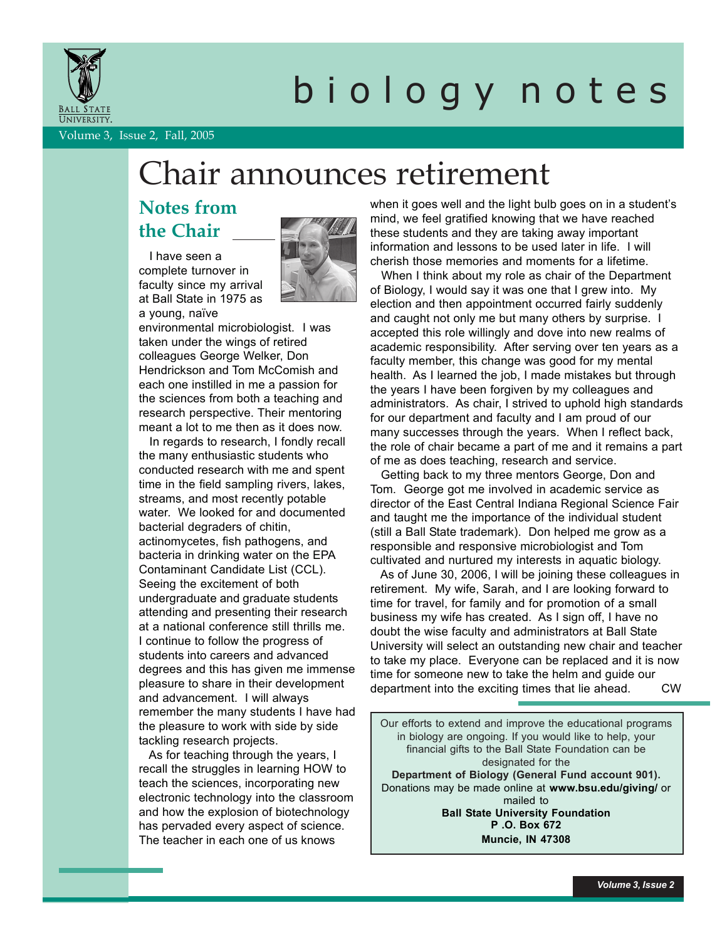

# b i o l o g y n o t e s

Volume 3, Issue 2, Fall, 2005

## Chair announces retirement

### **Notes from the Chair**

 I have seen a complete turnover in faculty since my arrival at Ball State in 1975 as a young, naïve



environmental microbiologist. I was taken under the wings of retired colleagues George Welker, Don Hendrickson and Tom McComish and each one instilled in me a passion for the sciences from both a teaching and research perspective. Their mentoring meant a lot to me then as it does now.

 In regards to research, I fondly recall the many enthusiastic students who conducted research with me and spent time in the field sampling rivers, lakes, streams, and most recently potable water. We looked for and documented bacterial degraders of chitin, actinomycetes, fish pathogens, and bacteria in drinking water on the EPA Contaminant Candidate List (CCL). Seeing the excitement of both undergraduate and graduate students attending and presenting their research at a national conference still thrills me. I continue to follow the progress of students into careers and advanced degrees and this has given me immense pleasure to share in their development and advancement. I will always remember the many students I have had the pleasure to work with side by side tackling research projects.

 As for teaching through the years, I recall the struggles in learning HOW to teach the sciences, incorporating new electronic technology into the classroom and how the explosion of biotechnology has pervaded every aspect of science. The teacher in each one of us knows

when it goes well and the light bulb goes on in a student's mind, we feel gratified knowing that we have reached these students and they are taking away important information and lessons to be used later in life. I will cherish those memories and moments for a lifetime.

 When I think about my role as chair of the Department of Biology, I would say it was one that I grew into. My election and then appointment occurred fairly suddenly and caught not only me but many others by surprise. I accepted this role willingly and dove into new realms of academic responsibility. After serving over ten years as a faculty member, this change was good for my mental health. As I learned the job, I made mistakes but through the years I have been forgiven by my colleagues and administrators. As chair, I strived to uphold high standards for our department and faculty and I am proud of our many successes through the years. When I reflect back, the role of chair became a part of me and it remains a part of me as does teaching, research and service.

 Getting back to my three mentors George, Don and Tom. George got me involved in academic service as director of the East Central Indiana Regional Science Fair and taught me the importance of the individual student (still a Ball State trademark). Don helped me grow as a responsible and responsive microbiologist and Tom cultivated and nurtured my interests in aquatic biology.

 As of June 30, 2006, I will be joining these colleagues in retirement. My wife, Sarah, and I are looking forward to time for travel, for family and for promotion of a small business my wife has created. As I sign off, I have no doubt the wise faculty and administrators at Ball State University will select an outstanding new chair and teacher to take my place. Everyone can be replaced and it is now time for someone new to take the helm and guide our department into the exciting times that lie ahead. CW

Our efforts to extend and improve the educational programs in biology are ongoing. If you would like to help, your financial gifts to the Ball State Foundation can be designated for the **Department of Biology (General Fund account 901).** Donations may be made online at **www.bsu.edu/giving/** or mailed to **Ball State University Foundation P .O. Box 672 Muncie, IN 47308**